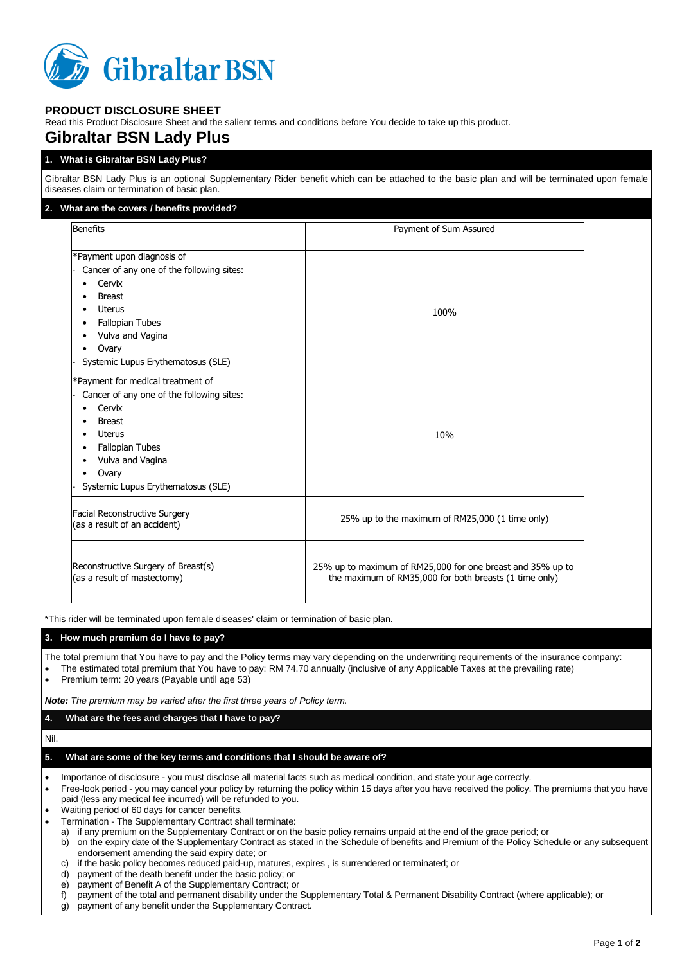

## **PRODUCT DISCLOSURE SHEET**

Read this Product Disclosure Sheet and the salient terms and conditions before You decide to take up this product.

# **Gibraltar BSN Lady Plus**

### **1. What is Gibraltar BSN Lady Plus?**

Gibraltar BSN Lady Plus is an optional Supplementary Rider benefit which can be attached to the basic plan and will be terminated upon female diseases claim or termination of basic plan.

| 2. What are the covers / benefits provided?                                                                                                                                                                                                               |                                                                                                                                                                                                                                                                             |  |
|-----------------------------------------------------------------------------------------------------------------------------------------------------------------------------------------------------------------------------------------------------------|-----------------------------------------------------------------------------------------------------------------------------------------------------------------------------------------------------------------------------------------------------------------------------|--|
| Benefits                                                                                                                                                                                                                                                  | Payment of Sum Assured                                                                                                                                                                                                                                                      |  |
| *Payment upon diagnosis of<br>Cancer of any one of the following sites:<br>Cervix<br><b>Breast</b><br>$\bullet$<br><b>Uterus</b><br>$\bullet$<br><b>Fallopian Tubes</b><br>٠<br>Vulva and Vagina<br>٠<br>Ovary<br>٠<br>Systemic Lupus Erythematosus (SLE) | 100%                                                                                                                                                                                                                                                                        |  |
| *Payment for medical treatment of<br>Cancer of any one of the following sites:<br>Cervix<br><b>Breast</b><br><b>Uterus</b><br><b>Fallopian Tubes</b><br>٠<br>Vulva and Vagina<br>Ovary<br>٠<br>Systemic Lupus Erythematosus (SLE)                         | 10%                                                                                                                                                                                                                                                                         |  |
| <b>Facial Reconstructive Surgery</b><br>(as a result of an accident)                                                                                                                                                                                      | 25% up to the maximum of RM25,000 (1 time only)                                                                                                                                                                                                                             |  |
| Reconstructive Surgery of Breast(s)<br>(as a result of mastectomy)                                                                                                                                                                                        | 25% up to maximum of RM25,000 for one breast and 35% up to<br>the maximum of RM35,000 for both breasts (1 time only)                                                                                                                                                        |  |
| *This rider will be terminated upon female diseases' claim or termination of basic plan.                                                                                                                                                                  |                                                                                                                                                                                                                                                                             |  |
| 3. How much premium do I have to pay?                                                                                                                                                                                                                     |                                                                                                                                                                                                                                                                             |  |
| Premium term: 20 years (Payable until age 53)                                                                                                                                                                                                             | The total premium that You have to pay and the Policy terms may vary depending on the underwriting requirements of the insurance company:<br>The estimated total premium that You have to pay: RM 74.70 annually (inclusive of any Applicable Taxes at the prevailing rate) |  |
| Note: The premium may be varied after the first three years of Policy term.                                                                                                                                                                               |                                                                                                                                                                                                                                                                             |  |
| What are the fees and charges that I have to pay?<br>4.                                                                                                                                                                                                   |                                                                                                                                                                                                                                                                             |  |
| Nil.                                                                                                                                                                                                                                                      |                                                                                                                                                                                                                                                                             |  |
| What are some of the key terms and conditions that I should be aware of?<br>5.                                                                                                                                                                            |                                                                                                                                                                                                                                                                             |  |
| Importance of disclosure - you must disclose all material facts such as medical condition, and state your age correctly.<br>٠<br>$\bullet$<br>paid (less any medical fee incurred) will be refunded to you.                                               | Free-look period - you may cancel your policy by returning the policy within 15 days after you have received the policy. The premiums that you have                                                                                                                         |  |

- Waiting period of 60 days for cancer benefits.
- Termination The Supplementary Contract shall terminate:
	- a) if any premium on the Supplementary Contract or on the basic policy remains unpaid at the end of the grace period; or
	- b) on the expiry date of the Supplementary Contract as stated in the Schedule of benefits and Premium of the Policy Schedule or any subsequent endorsement amending the said expiry date; or
	- c) if the basic policy becomes reduced paid-up, matures, expires , is surrendered or terminated; or
	- d) payment of the death benefit under the basic policy; or
	- e) payment of Benefit A of the Supplementary Contract; or
	- f) payment of the total and permanent disability under the Supplementary Total & Permanent Disability Contract (where applicable); or
	- g) payment of any benefit under the Supplementary Contract.